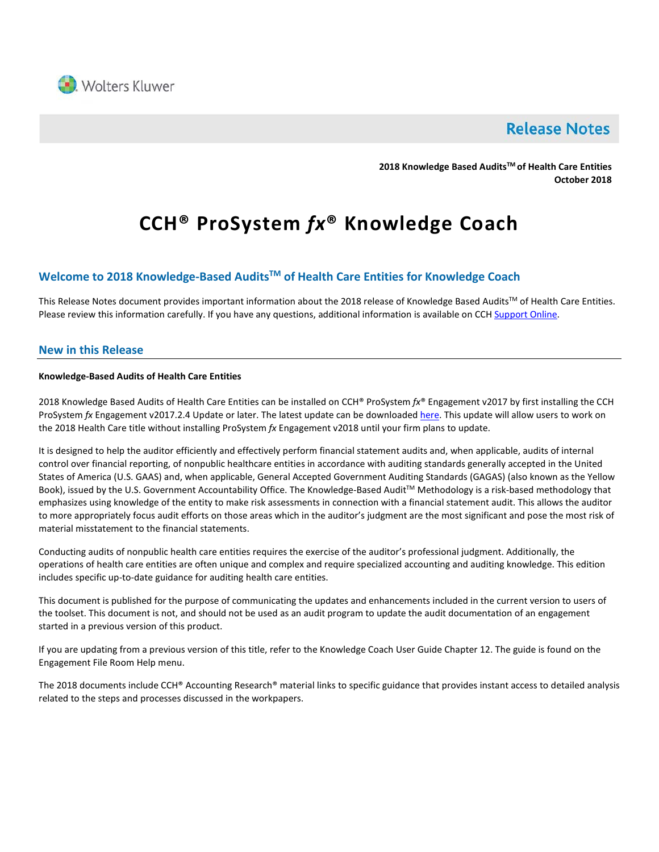

## **Release Notes**

**2018 Knowledge Based AuditsTM of Health Care Entities October 2018**

# **CCH® ProSystem** *fx***® Knowledge Coach**

## **Welcome to 2018 Knowledge-Based AuditsTM of Health Care Entities for Knowledge Coach**

This Release Notes document provides important information about the 2018 release of Knowledge Based Audits™ of Health Care Entities. Please review this information carefully. If you have any questions, additional information is available on CC[H Support Online.](http://support.cch.com/productsupport/)

## **New in this Release**

## **Knowledge-Based Audits of Health Care Entities**

2018 Knowledge Based Audits of Health Care Entities can be installed on CCH® ProSystem *fx*® Engagement v2017 by first installing the CCH ProSystem *fx* Engagement v2017.2.4 Update or later. The latest update can be downloade[d here.](https://support.cch.com/updates/Engagement/release2017/release2017.aspx) This update will allow users to work on the 2018 Health Care title without installing ProSystem *fx* Engagement v2018 until your firm plans to update.

It is designed to help the auditor efficiently and effectively perform financial statement audits and, when applicable, audits of internal control over financial reporting, of nonpublic healthcare entities in accordance with auditing standards generally accepted in the United States of America (U.S. GAAS) and, when applicable, General Accepted Government Auditing Standards (GAGAS) (also known as the Yellow Book), issued by the U.S. Government Accountability Office. The Knowledge-Based Audit™ Methodology is a risk-based methodology that emphasizes using knowledge of the entity to make risk assessments in connection with a financial statement audit. This allows the auditor to more appropriately focus audit efforts on those areas which in the auditor's judgment are the most significant and pose the most risk of material misstatement to the financial statements.

Conducting audits of nonpublic health care entities requires the exercise of the auditor's professional judgment. Additionally, the operations of health care entities are often unique and complex and require specialized accounting and auditing knowledge. This edition includes specific up-to-date guidance for auditing health care entities.

This document is published for the purpose of communicating the updates and enhancements included in the current version to users of the toolset. This document is not, and should not be used as an audit program to update the audit documentation of an engagement started in a previous version of this product.

If you are updating from a previous version of this title, refer to the Knowledge Coach User Guide Chapter 12. The guide is found on the Engagement File Room Help menu.

The 2018 documents include CCH® Accounting Research® material links to specific guidance that provides instant access to detailed analysis related to the steps and processes discussed in the workpapers.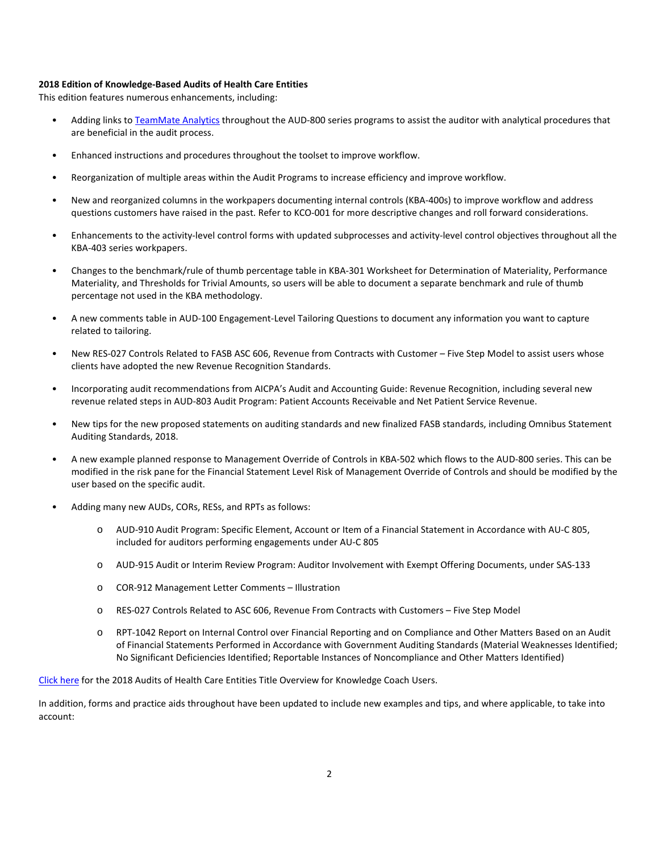## **2018 Edition of Knowledge-Based Audits of Health Care Entities**

This edition features numerous enhancements, including:

- Adding links t[o TeamMate Analytics](http://engagetax.wolterskluwer.com/l/339101/2018-03-29/2w349) throughout the AUD-800 series programs to assist the auditor with analytical procedures that are beneficial in the audit process.
- Enhanced instructions and procedures throughout the toolset to improve workflow.
- Reorganization of multiple areas within the Audit Programs to increase efficiency and improve workflow.
- New and reorganized columns in the workpapers documenting internal controls (KBA-400s) to improve workflow and address questions customers have raised in the past. Refer to KCO-001 for more descriptive changes and roll forward considerations.
- Enhancements to the activity-level control forms with updated subprocesses and activity-level control objectives throughout all the KBA-403 series workpapers.
- Changes to the benchmark/rule of thumb percentage table in KBA-301 Worksheet for Determination of Materiality, Performance Materiality, and Thresholds for Trivial Amounts, so users will be able to document a separate benchmark and rule of thumb percentage not used in the KBA methodology.
- A new comments table in AUD-100 Engagement-Level Tailoring Questions to document any information you want to capture related to tailoring.
- New RES-027 Controls Related to FASB ASC 606, Revenue from Contracts with Customer Five Step Model to assist users whose clients have adopted the new Revenue Recognition Standards.
- Incorporating audit recommendations from AICPA's Audit and Accounting Guide: Revenue Recognition, including several new revenue related steps in AUD-803 Audit Program: Patient Accounts Receivable and Net Patient Service Revenue.
- New tips for the new proposed statements on auditing standards and new finalized FASB standards, including Omnibus Statement Auditing Standards, 2018.
- A new example planned response to Management Override of Controls in KBA-502 which flows to the AUD-800 series. This can be modified in the risk pane for the Financial Statement Level Risk of Management Override of Controls and should be modified by the user based on the specific audit.
- Adding many new AUDs, CORs, RESs, and RPTs as follows:
	- o AUD-910 Audit Program: Specific Element, Account or Item of a Financial Statement in Accordance with AU-C 805, included for auditors performing engagements under AU-C 805
	- o AUD-915 Audit or Interim Review Program: Auditor Involvement with Exempt Offering Documents, under SAS-133
	- o COR-912 Management Letter Comments Illustration
	- o RES-027 Controls Related to ASC 606, Revenue From Contracts with Customers Five Step Model
	- o RPT-1042 Report on Internal Control over Financial Reporting and on Compliance and Other Matters Based on an Audit of Financial Statements Performed in Accordance with Government Auditing Standards (Material Weaknesses Identified; No Significant Deficiencies Identified; Reportable Instances of Noncompliance and Other Matters Identified)

[Click here](http://support.cch.com/updates/KnowledgeCoach/pdf/guides_tab/2018%20Health%20Care%20Entities%20Title%20Overview%20for%20Knowledge%20Coach%20Users.pdf) for the 2018 Audits of Health Care Entities Title Overview for Knowledge Coach Users.

In addition, forms and practice aids throughout have been updated to include new examples and tips, and where applicable, to take into account: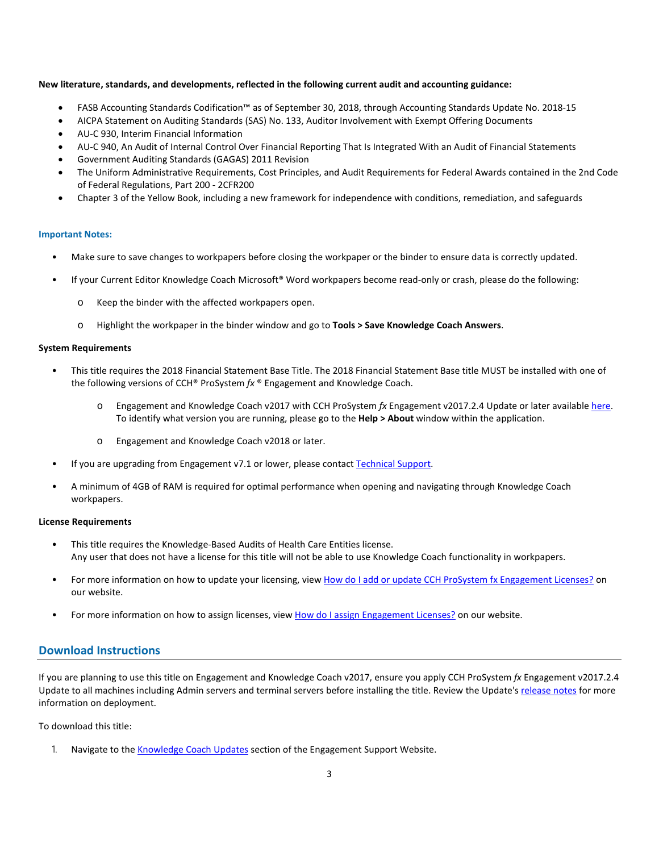## **New literature, standards, and developments, reflected in the following current audit and accounting guidance:**

- FASB Accounting Standards Codification™ as of September 30, 2018, through Accounting Standards Update No. 2018-15
- AICPA Statement on Auditing Standards (SAS) No. 133, Auditor Involvement with Exempt Offering Documents
- AU-C 930, Interim Financial Information
- AU-C 940, An Audit of Internal Control Over Financial Reporting That Is Integrated With an Audit of Financial Statements
- Government Auditing Standards (GAGAS) 2011 Revision
- The Uniform Administrative Requirements, Cost Principles, and Audit Requirements for Federal Awards contained in the 2nd Code of Federal Regulations, Part 200 - 2CFR200
- Chapter 3 of the Yellow Book, including a new framework for independence with conditions, remediation, and safeguards

#### **Important Notes:**

- Make sure to save changes to workpapers before closing the workpaper or the binder to ensure data is correctly updated.
- If your Current Editor Knowledge Coach Microsoft® Word workpapers become read-only or crash, please do the following:
	- o Keep the binder with the affected workpapers open.
	- o Highlight the workpaper in the binder window and go to **Tools > Save Knowledge Coach Answers**.

### **System Requirements**

- This title requires the 2018 Financial Statement Base Title. The 2018 Financial Statement Base title MUST be installed with one of the following versions of CCH® ProSystem *fx* ® Engagement and Knowledge Coach.
	- o Engagement and Knowledge Coach v2017 with CCH ProSystem *fx* Engagement v2017.2.4 Update or later available [here.](https://support.cch.com/updates/Engagement/release2017/release2017.aspx) To identify what version you are running, please go to the **Help > About** window within the application.
	- o Engagement and Knowledge Coach v2018 or later.
- If you are upgrading from Engagement v7.1 or lower, please contact [Technical Support.](https://support.cch.com/contact)
- A minimum of 4GB of RAM is required for optimal performance when opening and navigating through Knowledge Coach workpapers.

### **License Requirements**

- This title requires the Knowledge-Based Audits of Health Care Entities license. Any user that does not have a license for this title will not be able to use Knowledge Coach functionality in workpapers.
- For more information on how to update your licensing, view [How do I add or update CCH ProSystem fx Engagement Licenses?](https://support.cch.com/kb/solution.aspx/sw3937) on our website.
- For more information on how to assign licenses, view [How do I assign Engagement Licenses?](https://support.cch.com/kb/solution.aspx/sw3943) on our website.

## **Download Instructions**

If you are planning to use this title on Engagement and Knowledge Coach v2017, ensure you apply CCH ProSystem *fx* Engagement v2017.2.4 Update to all machines including Admin servers and terminal servers before installing the title. Review the Update's [release notes](https://support.cch.com/updates/Engagement/patch75/ENG%202017.2.4%20Release%20Notes.pdf) for more information on deployment.

To download this title:

1. Navigate to the [Knowledge Coach Updates](http://support.cch.com/updates/KnowledgeCoach) section of the Engagement Support Website.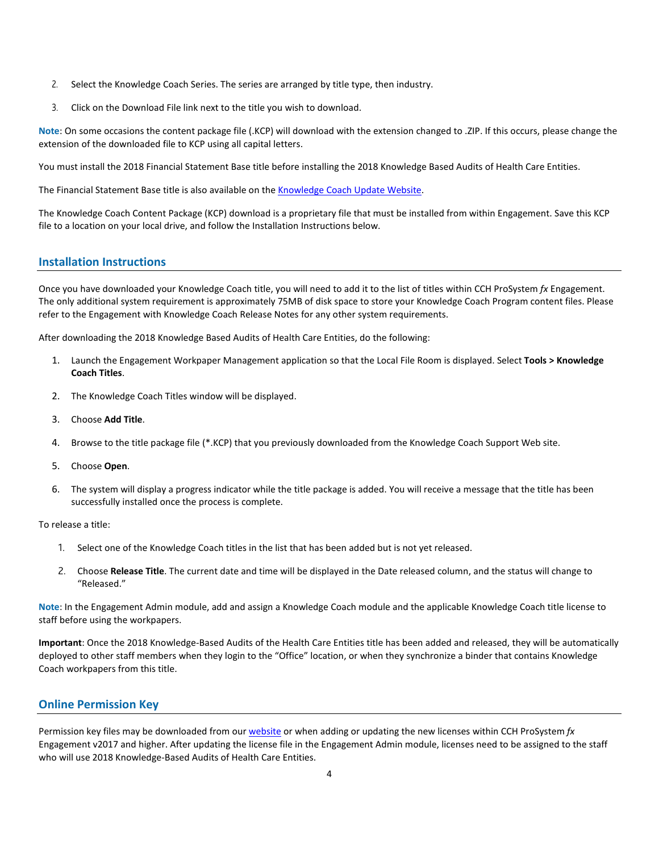- 2. Select the Knowledge Coach Series. The series are arranged by title type, then industry.
- 3. Click on the Download File link next to the title you wish to download.

**Note**: On some occasions the content package file (.KCP) will download with the extension changed to .ZIP. If this occurs, please change the extension of the downloaded file to KCP using all capital letters.

You must install the 2018 Financial Statement Base title before installing the 2018 Knowledge Based Audits of Health Care Entities.

The Financial Statement Base title is also available on th[e Knowledge Coach Update Website.](http://support.cch.com/updates/KnowledgeCoach)

The Knowledge Coach Content Package (KCP) download is a proprietary file that must be installed from within Engagement. Save this KCP file to a location on your local drive, and follow the Installation Instructions below.

## **Installation Instructions**

Once you have downloaded your Knowledge Coach title, you will need to add it to the list of titles within CCH ProSystem *fx* Engagement. The only additional system requirement is approximately 75MB of disk space to store your Knowledge Coach Program content files. Please refer to the Engagement with Knowledge Coach Release Notes for any other system requirements.

After downloading the 2018 Knowledge Based Audits of Health Care Entities, do the following:

- 1. Launch the Engagement Workpaper Management application so that the Local File Room is displayed. Select **Tools > Knowledge Coach Titles**.
- 2. The Knowledge Coach Titles window will be displayed.
- 3. Choose **Add Title**.
- 4. Browse to the title package file (\*.KCP) that you previously downloaded from the Knowledge Coach Support Web site.
- 5. Choose **Open**.
- 6. The system will display a progress indicator while the title package is added. You will receive a message that the title has been successfully installed once the process is complete.

To release a title:

- 1. Select one of the Knowledge Coach titles in the list that has been added but is not yet released.
- 2. Choose **Release Title**. The current date and time will be displayed in the Date released column, and the status will change to "Released."

**Note**: In the Engagement Admin module, add and assign a Knowledge Coach module and the applicable Knowledge Coach title license to staff before using the workpapers.

**Important**: Once the 2018 Knowledge-Based Audits of the Health Care Entities title has been added and released, they will be automatically deployed to other staff members when they login to the "Office" location, or when they synchronize a binder that contains Knowledge Coach workpapers from this title.

## **Online Permission Key**

Permission key files may be downloaded from ou[r website](https://prosystemfxsupport.tax.cchgroup.com/permkey/download.aspx) or when adding or updating the new licenses within CCH ProSystem *fx* Engagement v2017 and higher. After updating the license file in the Engagement Admin module, licenses need to be assigned to the staff who will use 2018 Knowledge-Based Audits of Health Care Entities.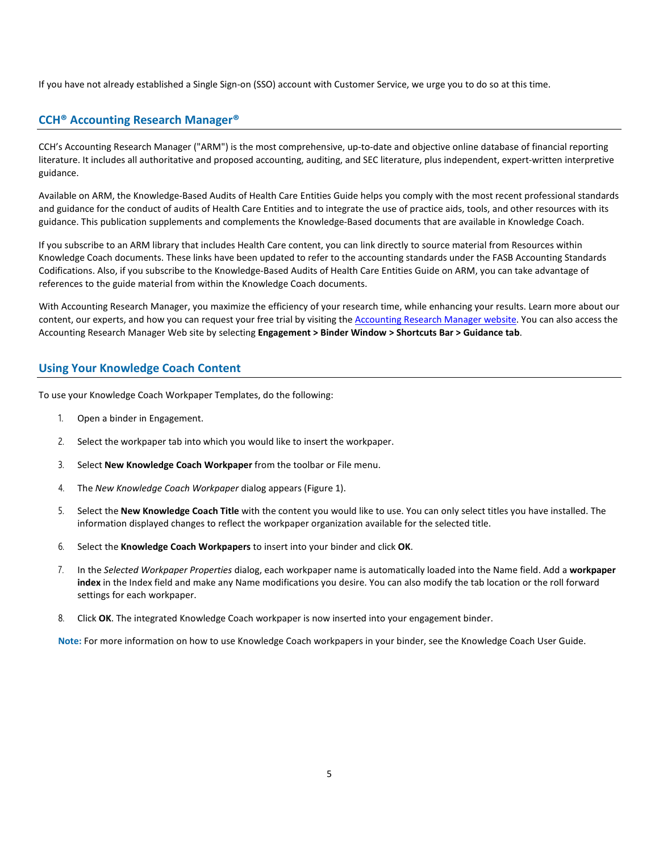If you have not already established a Single Sign-on (SSO) account with Customer Service, we urge you to do so at this time.

## **CCH® Accounting Research Manager®**

CCH's Accounting Research Manager ("ARM") is the most comprehensive, up-to-date and objective online database of financial reporting literature. It includes all authoritative and proposed accounting, auditing, and SEC literature, plus independent, expert-written interpretive guidance.

Available on ARM, the Knowledge-Based Audits of Health Care Entities Guide helps you comply with the most recent professional standards and guidance for the conduct of audits of Health Care Entities and to integrate the use of practice aids, tools, and other resources with its guidance. This publication supplements and complements the Knowledge-Based documents that are available in Knowledge Coach.

If you subscribe to an ARM library that includes Health Care content, you can link directly to source material from Resources within Knowledge Coach documents. These links have been updated to refer to the accounting standards under the FASB Accounting Standards Codifications. Also, if you subscribe to the Knowledge-Based Audits of Health Care Entities Guide on ARM, you can take advantage of references to the guide material from within the Knowledge Coach documents.

With Accounting Research Manager, you maximize the efficiency of your research time, while enhancing your results. Learn more about our content, our experts, and how you can request your free trial by visiting the [Accounting Research Manager website.](http://www.accountingresearchmanager.com/) You can also access the Accounting Research Manager Web site by selecting **Engagement > Binder Window > Shortcuts Bar > Guidance tab**.

## **Using Your Knowledge Coach Content**

To use your Knowledge Coach Workpaper Templates, do the following:

- 1. Open a binder in Engagement.
- 2. Select the workpaper tab into which you would like to insert the workpaper.
- 3. Select **New Knowledge Coach Workpaper** from the toolbar or File menu.
- 4. The *New Knowledge Coach Workpaper* dialog appears (Figure 1).
- 5. Select the **New Knowledge Coach Title** with the content you would like to use. You can only select titles you have installed. The information displayed changes to reflect the workpaper organization available for the selected title.
- 6. Select the **Knowledge Coach Workpapers** to insert into your binder and click **OK**.
- 7. In the *Selected Workpaper Properties* dialog, each workpaper name is automatically loaded into the Name field. Add a **workpaper index** in the Index field and make any Name modifications you desire. You can also modify the tab location or the roll forward settings for each workpaper.
- 8. Click **OK**. The integrated Knowledge Coach workpaper is now inserted into your engagement binder.

**Note:** For more information on how to use Knowledge Coach workpapers in your binder, see the Knowledge Coach User Guide.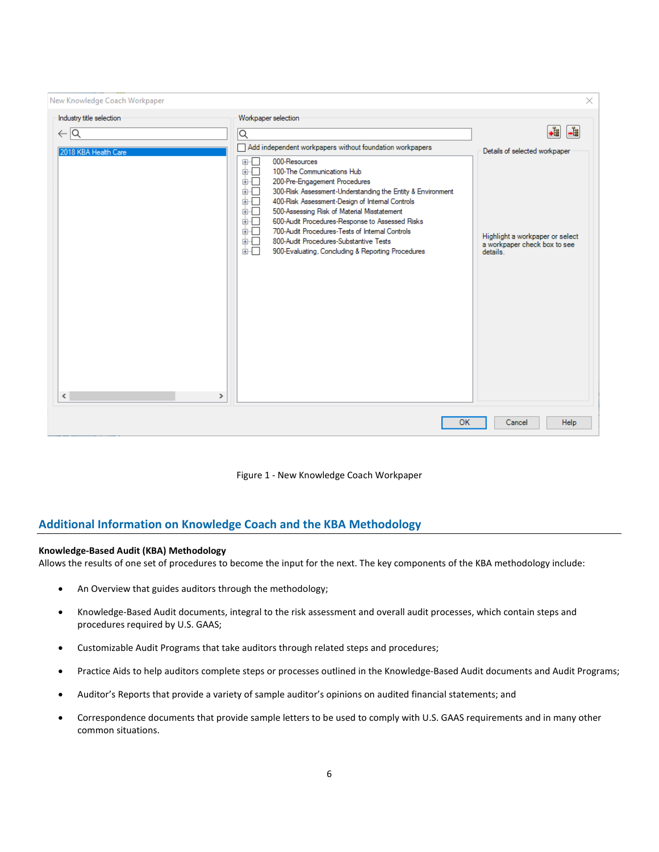| New Knowledge Coach Workpaper   |                                                                                                                                                                                                                                                                                                                                                                                                                                                                                                               | ×                                                                           |
|---------------------------------|---------------------------------------------------------------------------------------------------------------------------------------------------------------------------------------------------------------------------------------------------------------------------------------------------------------------------------------------------------------------------------------------------------------------------------------------------------------------------------------------------------------|-----------------------------------------------------------------------------|
| Industry title selection        | Workpaper selection                                                                                                                                                                                                                                                                                                                                                                                                                                                                                           |                                                                             |
| $\leftarrow \boxed{\mathsf{Q}}$ | Q                                                                                                                                                                                                                                                                                                                                                                                                                                                                                                             | $\bullet$<br>$\frac{1}{100}$                                                |
| 2018 KBA Health Care            | Add independent workpapers without foundation workpapers                                                                                                                                                                                                                                                                                                                                                                                                                                                      | Details of selected workpaper                                               |
| $\,<$<br>$\rightarrow$          | 000-Resources<br>田…<br>100-The Communications Hub<br>面一<br>面一<br>200-Pre-Engagement Procedures<br>面一<br>300-Risk Assessment-Understanding the Entity & Environment<br>面示<br>400-Risk Assessment-Design of Internal Controls<br>500-Assessing Risk of Material Misstatement<br>面示<br>600-Audit Procedures-Response to Assessed Risks<br>面干<br>700-Audit Procedures-Tests of Internal Controls<br>面板<br>面板<br>800-Audit Procedures-Substantive Tests<br>面目<br>900-Evaluating, Concluding & Reporting Procedures | Highlight a workpaper or select<br>a workpaper check box to see<br>details. |
| Help<br>OK<br>Cancel            |                                                                                                                                                                                                                                                                                                                                                                                                                                                                                                               |                                                                             |

Figure 1 - New Knowledge Coach Workpaper

## **Additional Information on Knowledge Coach and the KBA Methodology**

## **Knowledge-Based Audit (KBA) Methodology**

Allows the results of one set of procedures to become the input for the next. The key components of the KBA methodology include:

- An Overview that guides auditors through the methodology;
- Knowledge-Based Audit documents, integral to the risk assessment and overall audit processes, which contain steps and procedures required by U.S. GAAS;
- Customizable Audit Programs that take auditors through related steps and procedures;
- Practice Aids to help auditors complete steps or processes outlined in the Knowledge-Based Audit documents and Audit Programs;
- Auditor's Reports that provide a variety of sample auditor's opinions on audited financial statements; and
- Correspondence documents that provide sample letters to be used to comply with U.S. GAAS requirements and in many other common situations.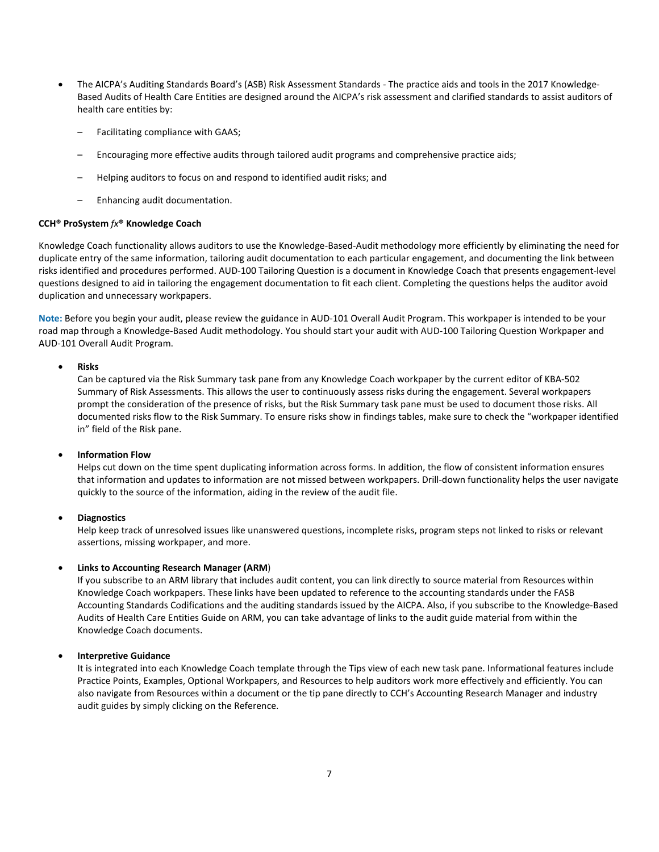- The AICPA's Auditing Standards Board's (ASB) Risk Assessment Standards The practice aids and tools in the 2017 Knowledge-Based Audits of Health Care Entities are designed around the AICPA's risk assessment and clarified standards to assist auditors of health care entities by:
	- Facilitating compliance with GAAS;
	- Encouraging more effective audits through tailored audit programs and comprehensive practice aids;
	- Helping auditors to focus on and respond to identified audit risks; and
	- Enhancing audit documentation.

## **CCH® ProSystem** *fx***® Knowledge Coach**

Knowledge Coach functionality allows auditors to use the Knowledge-Based-Audit methodology more efficiently by eliminating the need for duplicate entry of the same information, tailoring audit documentation to each particular engagement, and documenting the link between risks identified and procedures performed. AUD-100 Tailoring Question is a document in Knowledge Coach that presents engagement-level questions designed to aid in tailoring the engagement documentation to fit each client. Completing the questions helps the auditor avoid duplication and unnecessary workpapers.

**Note:** Before you begin your audit, please review the guidance in AUD-101 Overall Audit Program. This workpaper is intended to be your road map through a Knowledge-Based Audit methodology. You should start your audit with AUD-100 Tailoring Question Workpaper and AUD-101 Overall Audit Program.

### • **Risks**

Can be captured via the Risk Summary task pane from any Knowledge Coach workpaper by the current editor of KBA-502 Summary of Risk Assessments. This allows the user to continuously assess risks during the engagement. Several workpapers prompt the consideration of the presence of risks, but the Risk Summary task pane must be used to document those risks. All documented risks flow to the Risk Summary. To ensure risks show in findings tables, make sure to check the "workpaper identified in" field of the Risk pane.

### • **Information Flow**

Helps cut down on the time spent duplicating information across forms. In addition, the flow of consistent information ensures that information and updates to information are not missed between workpapers. Drill-down functionality helps the user navigate quickly to the source of the information, aiding in the review of the audit file.

### • **Diagnostics**

Help keep track of unresolved issues like unanswered questions, incomplete risks, program steps not linked to risks or relevant assertions, missing workpaper, and more.

### • **Links to Accounting Research Manager (ARM**)

If you subscribe to an ARM library that includes audit content, you can link directly to source material from Resources within Knowledge Coach workpapers. These links have been updated to reference to the accounting standards under the FASB Accounting Standards Codifications and the auditing standards issued by the AICPA. Also, if you subscribe to the Knowledge-Based Audits of Health Care Entities Guide on ARM, you can take advantage of links to the audit guide material from within the Knowledge Coach documents.

## • **Interpretive Guidance**

It is integrated into each Knowledge Coach template through the Tips view of each new task pane. Informational features include Practice Points, Examples, Optional Workpapers, and Resources to help auditors work more effectively and efficiently. You can also navigate from Resources within a document or the tip pane directly to CCH's Accounting Research Manager and industry audit guides by simply clicking on the Reference.